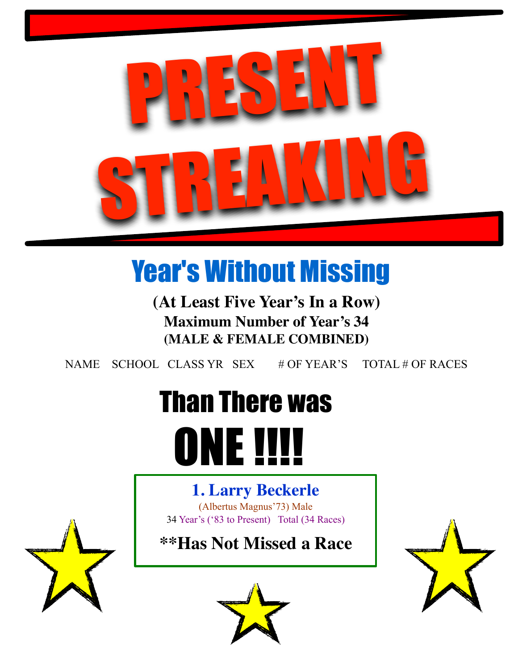

# Year's Without Missing

**(At Least Five Year's In a Row) Maximum Number of Year's 34 (MALE & FEMALE COMBINED)**

NAME SCHOOL CLASS YR SEX # OF YEAR'S TOTAL # OF RACES

# Than There was **ONE !!!!**

# **1. Larry Beckerle**

(Albertus Magnus'73) Male 34 Year's ('83 to Present) Total (34 Races)

**\*\*Has Not Missed a Race**







٦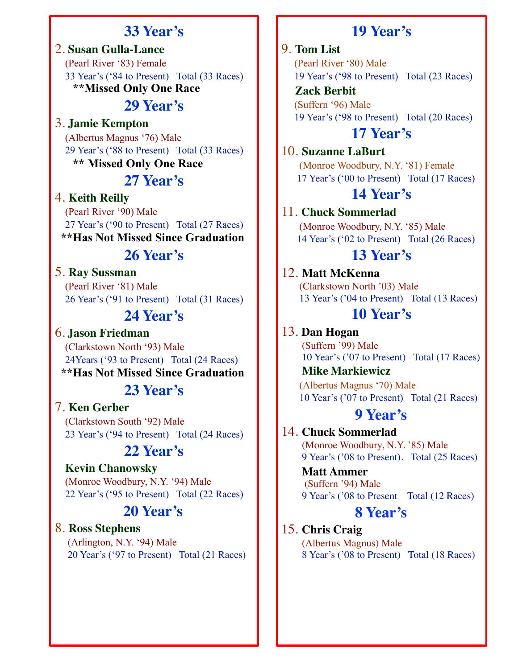# **33 Year's**

2. **Susan Gulla-Lance** (Pearl River '83) Female 33 Year's ('84 to Present) Total (33 Races) **\*\*Missed Only One Race** 

# **29 Year's**

3. **Jamie Kempton**

 (Albertus Magnus '76) Male 29 Year's ('88 to Present) Total (33 Races) **\*\* Missed Only One Race** 

# **27 Year's**

#### 4. **Keith Reilly**

 (Pearl River '90) Male 27 Year's ('90 to Present) Total (27 Races)  **\*\*Has Not Missed Since Graduation** 

# **26 Year's**

#### 5. **Ray Sussman**

 (Pearl River '81) Male 26 Year's ('91 to Present) Total (31 Races)

#### **24 Year's**

6. **Jason Friedman** (Clarkstown North '93) Male 24Years ('93 to Present) Total (24 Races)  **\*\*Has Not Missed Since Graduation** 

# **23 Year's**

#### 7. **Ken Gerber**

 (Clarkstown South '92) Male 23 Year's ('94 to Present) Total (24 Races)

# **22 Year's**

#### **Kevin Chanowsky**

 (Monroe Woodbury, N.Y. '94) Male 22 Year's ('95 to Present) Total (22 Races)

#### **20 Year's**

8. **Ross Stephens** (Arlington, N.Y. '94) Male 20 Year's ('97 to Present) Total (21 Races)

# **19 Year's**

#### 9. **Tom List**

 (Pearl River '80) Male 19 Year's ('98 to Present) Total (23 Races)

 **Zack Berbit**  (Suffern '96) Male 19 Year's ('98 to Present) Total (20 Races)

# **17 Year's**

10. **Suzanne LaBurt**

 (Monroe Woodbury, N.Y. '81) Female 17 Year's ('00 to Present) Total (17 Races)

## **14 Year's**

#### 11. **Chuck Sommerlad**

 (Monroe Woodbury, N.Y. '85) Male 14 Year's ('02 to Present) Total (26 Races)

#### **13 Year's**

#### 12. **Matt McKenna**

 (Clarkstown North '03) Male 13 Year's ('04 to Present) Total (13 Races)

#### **10 Year's**

13. **Dan Hogan** (Suffern '99) Male 10 Year's ('07 to Present) Total (17 Races)

# **Mike Markiewicz** (Albertus Magnus '70) Male

10 Year's ('07 to Present) Total (21 Races)

#### **9 Year's**

# 14. **Chuck Sommerlad**

 (Monroe Woodbury, N.Y. '85) Male 9 Year's ('08 to Present). Total (25 Races)

 **Matt Ammer**  (Suffern '94) Male 9 Year's ('08 to Present Total (12 Races)

# **8 Year's**

#### 15. **Chris Craig** (Albertus Magnus) Male 8 Year's ('08 to Present) Total (18 Races)